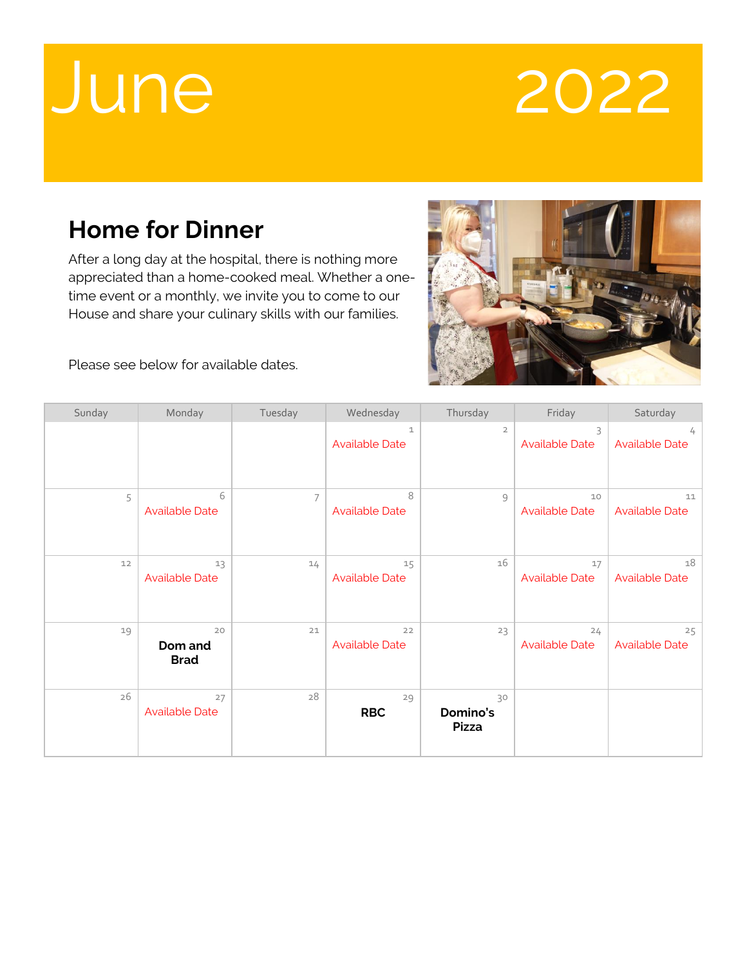## June 2022

## **Home for Dinner**

After a long day at the hospital, there is nothing more appreciated than a home-cooked meal. Whether a onetime event or a monthly, we invite you to come to our House and share your culinary skills with our families.



Please see below for available dates.

| Sunday | Monday                       | Tuesday        | Wednesday                      | Thursday                       | Friday                      | Saturday                    |
|--------|------------------------------|----------------|--------------------------------|--------------------------------|-----------------------------|-----------------------------|
|        |                              |                | $1\,$<br><b>Available Date</b> | $\overline{2}$                 | 3<br><b>Available Date</b>  | 4<br><b>Available Date</b>  |
| 5      | 6<br><b>Available Date</b>   | $\overline{7}$ | 8<br><b>Available Date</b>     | $\mathcal{G}$                  | 10<br><b>Available Date</b> | 11<br><b>Available Date</b> |
| 12     | 13<br><b>Available Date</b>  | 14             | 15<br><b>Available Date</b>    | 16                             | 17<br><b>Available Date</b> | 18<br><b>Available Date</b> |
| 19     | 20<br>Dom and<br><b>Brad</b> | 21             | 22<br><b>Available Date</b>    | 23                             | 24<br><b>Available Date</b> | 25<br><b>Available Date</b> |
| 26     | 27<br><b>Available Date</b>  | 28             | 29<br><b>RBC</b>               | 30<br>Domino's<br><b>Pizza</b> |                             |                             |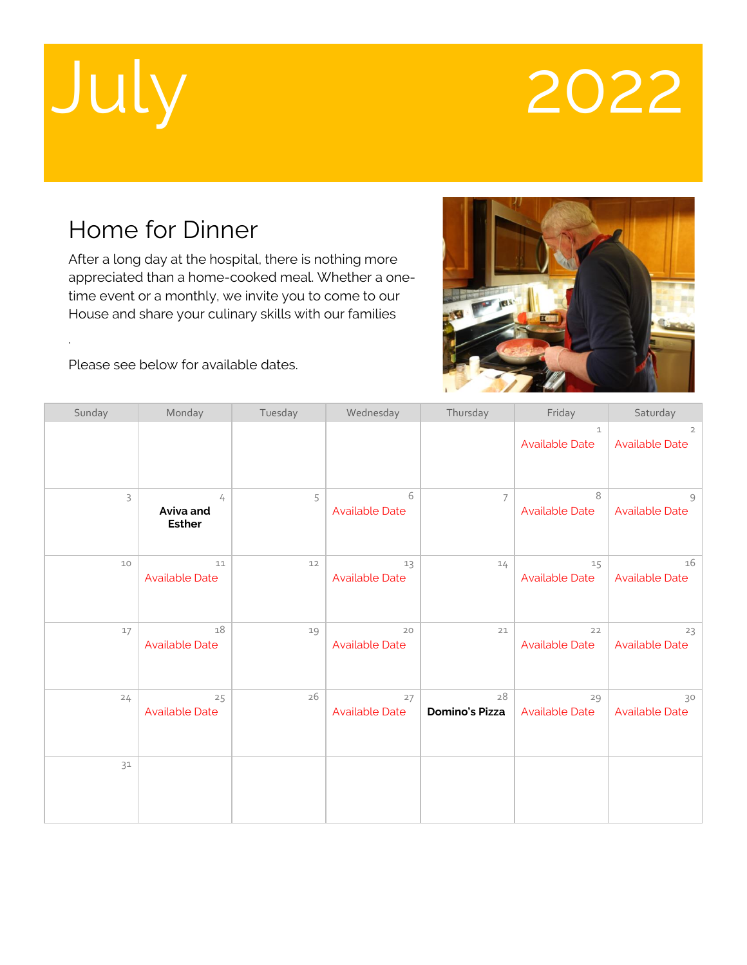.

## July 2022

### Home for Dinner

After a long day at the hospital, there is nothing more appreciated than a home-cooked meal. Whether a onetime event or a monthly, we invite you to come to our House and share your culinary skills with our families



Please see below for available dates.

| Sunday | Monday                          | Tuesday | Wednesday                   | Thursday                    | Friday                                | Saturday                                |
|--------|---------------------------------|---------|-----------------------------|-----------------------------|---------------------------------------|-----------------------------------------|
|        |                                 |         |                             |                             | $\mathbf{1}$<br><b>Available Date</b> | $\overline{2}$<br><b>Available Date</b> |
| 3      | 4<br>Aviva and<br><b>Esther</b> | 5       | 6<br><b>Available Date</b>  | 7                           | 8<br><b>Available Date</b>            | $\circ$<br><b>Available Date</b>        |
| 10     | 11<br><b>Available Date</b>     | 12      | 13<br><b>Available Date</b> | 14                          | 15<br><b>Available Date</b>           | 16<br><b>Available Date</b>             |
| 17     | 18<br><b>Available Date</b>     | 19      | 20<br><b>Available Date</b> | 21                          | 22<br><b>Available Date</b>           | 23<br><b>Available Date</b>             |
| 24     | 25<br><b>Available Date</b>     | 26      | 27<br><b>Available Date</b> | 28<br><b>Domino's Pizza</b> | 29<br><b>Available Date</b>           | 30<br><b>Available Date</b>             |
| 31     |                                 |         |                             |                             |                                       |                                         |